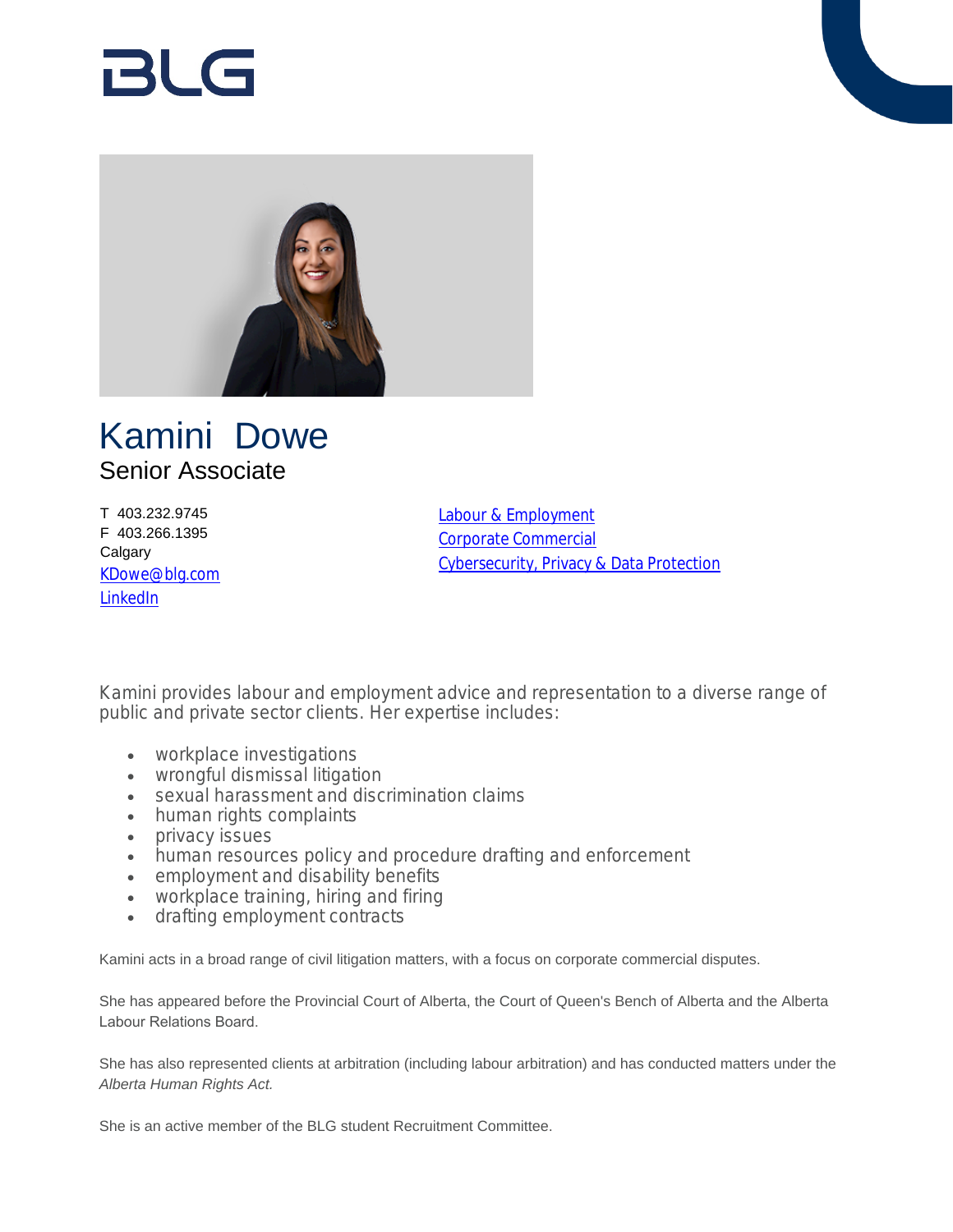# RI G



# Kamini Dowe Senior Associate

T 403.232.9745 F 403.266.1395 **Calgary** [KDowe@blg.com](mailto:KDowe@blg.com) [LinkedIn](https://www.linkedin.com/in/kamini-dowe-580b2b4b/)

[Labour & Employment](https://www.blg.com/en/services/practice-areas/labour-,-a-,-employment) [Corporate Commercial](https://www.blg.com/en/services/practice-areas/corporate-commercial) [Cybersecurity, Privacy & Data Protection](https://www.blg.com/en/services/practice-areas/cybersecurity-privacy-data-protection)

Kamini provides labour and employment advice and representation to a diverse range of public and private sector clients. Her expertise includes:

- workplace investigations
- wrongful dismissal litigation
- sexual harassment and discrimination claims
- human rights complaints
- privacy issues
- human resources policy and procedure drafting and enforcement
- employment and disability benefits
- workplace training, hiring and firing
- drafting employment contracts

Kamini acts in a broad range of civil litigation matters, with a focus on corporate commercial disputes.

She has appeared before the Provincial Court of Alberta, the Court of Queen's Bench of Alberta and the Alberta Labour Relations Board.

She has also represented clients at arbitration (including labour arbitration) and has conducted matters under the *Alberta Human Rights Act.*

She is an active member of the BLG student Recruitment Committee.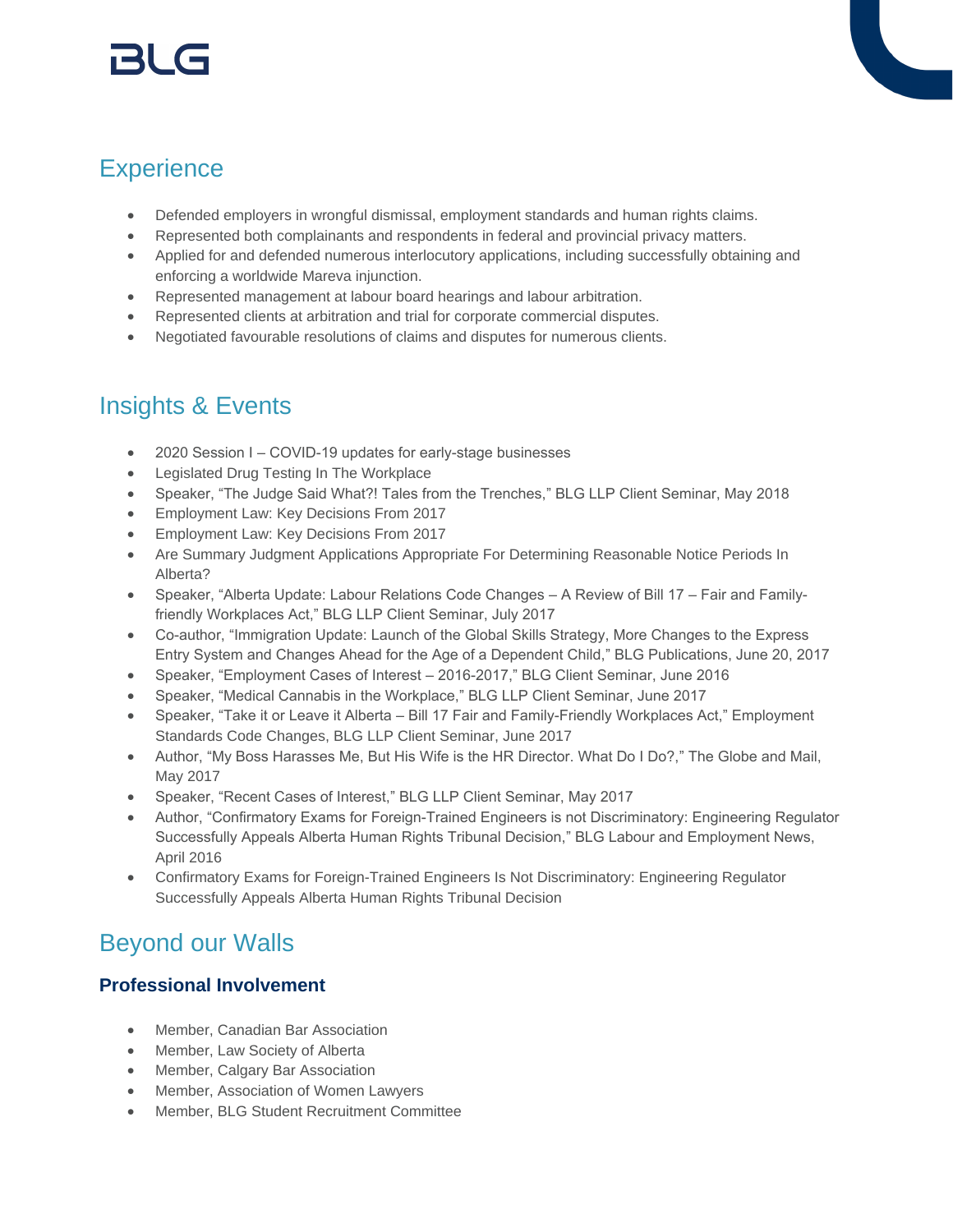# r3l G

# **Experience**

- Defended employers in wrongful dismissal, employment standards and human rights claims.
- Represented both complainants and respondents in federal and provincial privacy matters.
- Applied for and defended numerous interlocutory applications, including successfully obtaining and enforcing a worldwide Mareva injunction.
- Represented management at labour board hearings and labour arbitration.
- Represented clients at arbitration and trial for corporate commercial disputes.
- Negotiated favourable resolutions of claims and disputes for numerous clients.

### Insights & Events

- 2020 Session I COVID-19 updates for early-stage businesses
- Legislated Drug Testing In The Workplace
- Speaker, "The Judge Said What?! Tales from the Trenches," BLG LLP Client Seminar, May 2018
- Employment Law: Key Decisions From 2017
- Employment Law: Key Decisions From 2017
- Are Summary Judgment Applications Appropriate For Determining Reasonable Notice Periods In Alberta?
- Speaker, "Alberta Update: Labour Relations Code Changes A Review of Bill 17 Fair and Familyfriendly Workplaces Act," BLG LLP Client Seminar, July 2017
- Co-author, "Immigration Update: Launch of the Global Skills Strategy, More Changes to the Express Entry System and Changes Ahead for the Age of a Dependent Child," BLG Publications, June 20, 2017
- Speaker, "Employment Cases of Interest 2016-2017," BLG Client Seminar, June 2016
- Speaker, "Medical Cannabis in the Workplace," BLG LLP Client Seminar, June 2017
- Speaker, "Take it or Leave it Alberta Bill 17 Fair and Family-Friendly Workplaces Act," Employment Standards Code Changes, BLG LLP Client Seminar, June 2017
- Author, "My Boss Harasses Me, But His Wife is the HR Director. What Do I Do?," The Globe and Mail, May 2017
- Speaker, "Recent Cases of Interest," BLG LLP Client Seminar, May 2017
- Author, "Confirmatory Exams for Foreign-Trained Engineers is not Discriminatory: Engineering Regulator Successfully Appeals Alberta Human Rights Tribunal Decision," BLG Labour and Employment News, April 2016
- Confirmatory Exams for Foreign-Trained Engineers Is Not Discriminatory: Engineering Regulator Successfully Appeals Alberta Human Rights Tribunal Decision

# Beyond our Walls

#### **Professional Involvement**

- Member, Canadian Bar Association
- Member, Law Society of Alberta
- Member, Calgary Bar Association
- Member, Association of Women Lawyers
- Member, BLG Student Recruitment Committee